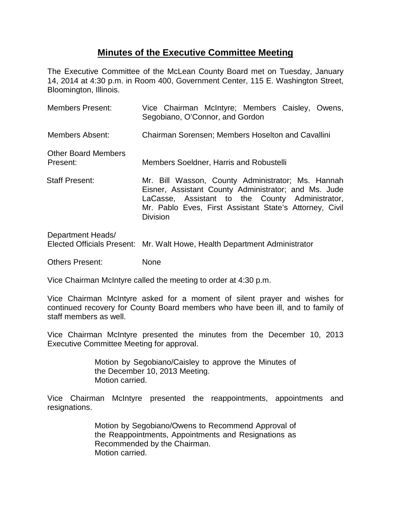## **Minutes of the Executive Committee Meeting**

The Executive Committee of the McLean County Board met on Tuesday, January 14, 2014 at 4:30 p.m. in Room 400, Government Center, 115 E. Washington Street, Bloomington, Illinois.

| <b>Members Present:</b>                | Vice Chairman McIntyre; Members Caisley, Owens,<br>Segobiano, O'Connor, and Gordon                                                                                                                                                         |
|----------------------------------------|--------------------------------------------------------------------------------------------------------------------------------------------------------------------------------------------------------------------------------------------|
| <b>Members Absent:</b>                 | <b>Chairman Sorensen: Members Hoselton and Cavallini</b>                                                                                                                                                                                   |
| <b>Other Board Members</b><br>Present: | Members Soeldner, Harris and Robustelli                                                                                                                                                                                                    |
| <b>Staff Present:</b>                  | Mr. Bill Wasson, County Administrator; Ms. Hannah<br>Eisner, Assistant County Administrator; and Ms. Jude<br>LaCasse, Assistant to the County Administrator,<br>Mr. Pablo Eves, First Assistant State's Attorney, Civil<br><b>Division</b> |
|                                        |                                                                                                                                                                                                                                            |

Department Heads/ Elected Officials Present: Mr. Walt Howe, Health Department Administrator

Others Present: None

Vice Chairman McIntyre called the meeting to order at 4:30 p.m.

Vice Chairman McIntyre asked for a moment of silent prayer and wishes for continued recovery for County Board members who have been ill, and to family of staff members as well.

Vice Chairman McIntyre presented the minutes from the December 10, 2013 Executive Committee Meeting for approval.

> Motion by Segobiano/Caisley to approve the Minutes of the December 10, 2013 Meeting. Motion carried.

Vice Chairman McIntyre presented the reappointments, appointments and resignations.

> Motion by Segobiano/Owens to Recommend Approval of the Reappointments, Appointments and Resignations as Recommended by the Chairman. Motion carried.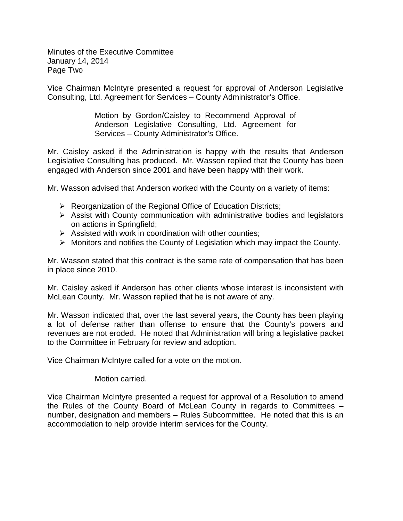Minutes of the Executive Committee January 14, 2014 Page Two

Vice Chairman McIntyre presented a request for approval of Anderson Legislative Consulting, Ltd. Agreement for Services – County Administrator's Office.

> Motion by Gordon/Caisley to Recommend Approval of Anderson Legislative Consulting, Ltd. Agreement for Services – County Administrator's Office.

Mr. Caisley asked if the Administration is happy with the results that Anderson Legislative Consulting has produced. Mr. Wasson replied that the County has been engaged with Anderson since 2001 and have been happy with their work.

Mr. Wasson advised that Anderson worked with the County on a variety of items:

- $\triangleright$  Reorganization of the Regional Office of Education Districts;
- $\triangleright$  Assist with County communication with administrative bodies and legislators on actions in Springfield;
- $\triangleright$  Assisted with work in coordination with other counties;
- $\triangleright$  Monitors and notifies the County of Legislation which may impact the County.

Mr. Wasson stated that this contract is the same rate of compensation that has been in place since 2010.

Mr. Caisley asked if Anderson has other clients whose interest is inconsistent with McLean County. Mr. Wasson replied that he is not aware of any.

Mr. Wasson indicated that, over the last several years, the County has been playing a lot of defense rather than offense to ensure that the County's powers and revenues are not eroded. He noted that Administration will bring a legislative packet to the Committee in February for review and adoption.

Vice Chairman McIntyre called for a vote on the motion.

Motion carried.

Vice Chairman McIntyre presented a request for approval of a Resolution to amend the Rules of the County Board of McLean County in regards to Committees – number, designation and members – Rules Subcommittee. He noted that this is an accommodation to help provide interim services for the County.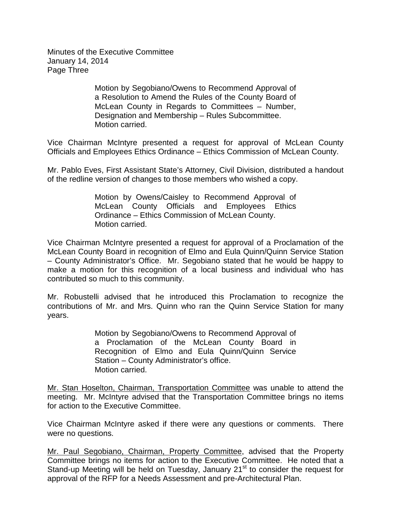Minutes of the Executive Committee January 14, 2014 Page Three

> Motion by Segobiano/Owens to Recommend Approval of a Resolution to Amend the Rules of the County Board of McLean County in Regards to Committees – Number, Designation and Membership – Rules Subcommittee. Motion carried.

Vice Chairman McIntyre presented a request for approval of McLean County Officials and Employees Ethics Ordinance – Ethics Commission of McLean County.

Mr. Pablo Eves, First Assistant State's Attorney, Civil Division, distributed a handout of the redline version of changes to those members who wished a copy.

> Motion by Owens/Caisley to Recommend Approval of McLean County Officials and Employees Ethics Ordinance – Ethics Commission of McLean County. Motion carried.

Vice Chairman McIntyre presented a request for approval of a Proclamation of the McLean County Board in recognition of Elmo and Eula Quinn/Quinn Service Station – County Administrator's Office. Mr. Segobiano stated that he would be happy to make a motion for this recognition of a local business and individual who has contributed so much to this community.

Mr. Robustelli advised that he introduced this Proclamation to recognize the contributions of Mr. and Mrs. Quinn who ran the Quinn Service Station for many years.

> Motion by Segobiano/Owens to Recommend Approval of a Proclamation of the McLean County Board in Recognition of Elmo and Eula Quinn/Quinn Service Station – County Administrator's office. Motion carried.

Mr. Stan Hoselton, Chairman, Transportation Committee was unable to attend the meeting. Mr. McIntyre advised that the Transportation Committee brings no items for action to the Executive Committee.

Vice Chairman McIntyre asked if there were any questions or comments. There were no questions.

Mr. Paul Segobiano, Chairman, Property Committee, advised that the Property Committee brings no items for action to the Executive Committee. He noted that a Stand-up Meeting will be held on Tuesday, January 21<sup>st</sup> to consider the request for approval of the RFP for a Needs Assessment and pre-Architectural Plan.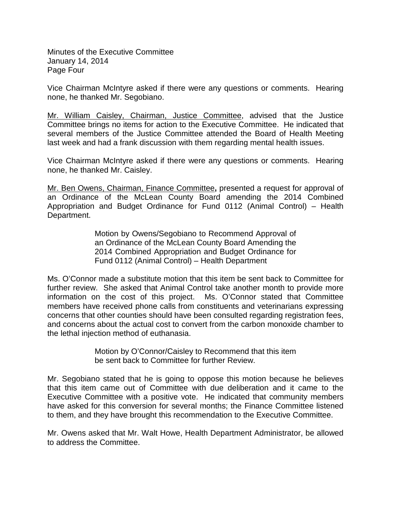Minutes of the Executive Committee January 14, 2014 Page Four

Vice Chairman McIntyre asked if there were any questions or comments. Hearing none, he thanked Mr. Segobiano.

Mr. William Caisley, Chairman, Justice Committee, advised that the Justice Committee brings no items for action to the Executive Committee. He indicated that several members of the Justice Committee attended the Board of Health Meeting last week and had a frank discussion with them regarding mental health issues.

Vice Chairman McIntyre asked if there were any questions or comments. Hearing none, he thanked Mr. Caisley.

Mr. Ben Owens, Chairman, Finance Committee**,** presented a request for approval of an Ordinance of the McLean County Board amending the 2014 Combined Appropriation and Budget Ordinance for Fund 0112 (Animal Control) – Health Department.

> Motion by Owens/Segobiano to Recommend Approval of an Ordinance of the McLean County Board Amending the 2014 Combined Appropriation and Budget Ordinance for Fund 0112 (Animal Control) – Health Department

Ms. O'Connor made a substitute motion that this item be sent back to Committee for further review. She asked that Animal Control take another month to provide more information on the cost of this project. Ms. O'Connor stated that Committee members have received phone calls from constituents and veterinarians expressing concerns that other counties should have been consulted regarding registration fees, and concerns about the actual cost to convert from the carbon monoxide chamber to the lethal injection method of euthanasia.

> Motion by O'Connor/Caisley to Recommend that this item be sent back to Committee for further Review.

Mr. Segobiano stated that he is going to oppose this motion because he believes that this item came out of Committee with due deliberation and it came to the Executive Committee with a positive vote. He indicated that community members have asked for this conversion for several months; the Finance Committee listened to them, and they have brought this recommendation to the Executive Committee.

Mr. Owens asked that Mr. Walt Howe, Health Department Administrator, be allowed to address the Committee.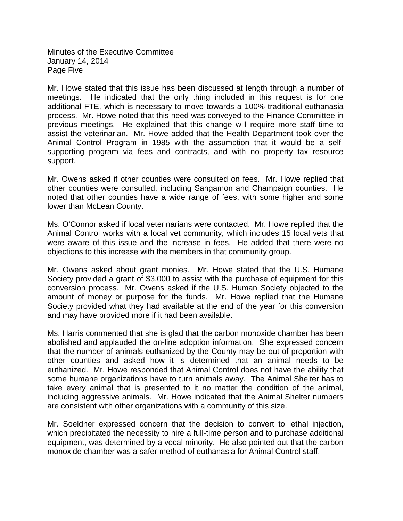Minutes of the Executive Committee January 14, 2014 Page Five

Mr. Howe stated that this issue has been discussed at length through a number of meetings. He indicated that the only thing included in this request is for one additional FTE, which is necessary to move towards a 100% traditional euthanasia process. Mr. Howe noted that this need was conveyed to the Finance Committee in previous meetings. He explained that this change will require more staff time to assist the veterinarian. Mr. Howe added that the Health Department took over the Animal Control Program in 1985 with the assumption that it would be a selfsupporting program via fees and contracts, and with no property tax resource support.

Mr. Owens asked if other counties were consulted on fees. Mr. Howe replied that other counties were consulted, including Sangamon and Champaign counties. He noted that other counties have a wide range of fees, with some higher and some lower than McLean County.

Ms. O'Connor asked if local veterinarians were contacted. Mr. Howe replied that the Animal Control works with a local vet community, which includes 15 local vets that were aware of this issue and the increase in fees. He added that there were no objections to this increase with the members in that community group.

Mr. Owens asked about grant monies. Mr. Howe stated that the U.S. Humane Society provided a grant of \$3,000 to assist with the purchase of equipment for this conversion process. Mr. Owens asked if the U.S. Human Society objected to the amount of money or purpose for the funds. Mr. Howe replied that the Humane Society provided what they had available at the end of the year for this conversion and may have provided more if it had been available.

Ms. Harris commented that she is glad that the carbon monoxide chamber has been abolished and applauded the on-line adoption information. She expressed concern that the number of animals euthanized by the County may be out of proportion with other counties and asked how it is determined that an animal needs to be euthanized. Mr. Howe responded that Animal Control does not have the ability that some humane organizations have to turn animals away. The Animal Shelter has to take every animal that is presented to it no matter the condition of the animal, including aggressive animals. Mr. Howe indicated that the Animal Shelter numbers are consistent with other organizations with a community of this size.

Mr. Soeldner expressed concern that the decision to convert to lethal injection, which precipitated the necessity to hire a full-time person and to purchase additional equipment, was determined by a vocal minority. He also pointed out that the carbon monoxide chamber was a safer method of euthanasia for Animal Control staff.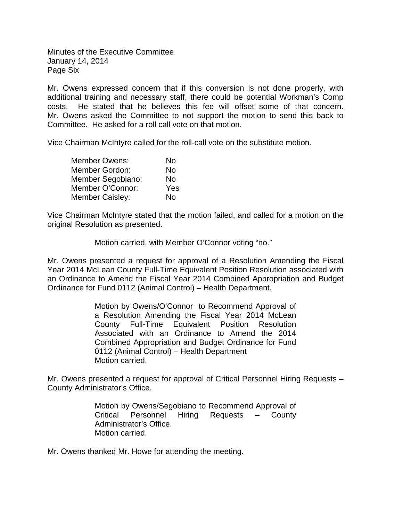Minutes of the Executive Committee January 14, 2014 Page Six

Mr. Owens expressed concern that if this conversion is not done properly, with additional training and necessary staff, there could be potential Workman's Comp costs. He stated that he believes this fee will offset some of that concern. Mr. Owens asked the Committee to not support the motion to send this back to Committee. He asked for a roll call vote on that motion.

Vice Chairman McIntyre called for the roll-call vote on the substitute motion.

| <b>Member Owens:</b> | No  |
|----------------------|-----|
| Member Gordon:       | No  |
| Member Segobiano:    | No  |
| Member O'Connor:     | Yes |
| Member Caisley:      | No  |

Vice Chairman McIntyre stated that the motion failed, and called for a motion on the original Resolution as presented.

Motion carried, with Member O'Connor voting "no."

Mr. Owens presented a request for approval of a Resolution Amending the Fiscal Year 2014 McLean County Full-Time Equivalent Position Resolution associated with an Ordinance to Amend the Fiscal Year 2014 Combined Appropriation and Budget Ordinance for Fund 0112 (Animal Control) – Health Department.

> Motion by Owens/O'Connor to Recommend Approval of a Resolution Amending the Fiscal Year 2014 McLean County Full-Time Equivalent Position Resolution Associated with an Ordinance to Amend the 2014 Combined Appropriation and Budget Ordinance for Fund 0112 (Animal Control) – Health Department Motion carried.

Mr. Owens presented a request for approval of Critical Personnel Hiring Requests – County Administrator's Office.

> Motion by Owens/Segobiano to Recommend Approval of Critical Personnel Hiring Requests – County Administrator's Office. Motion carried.

Mr. Owens thanked Mr. Howe for attending the meeting.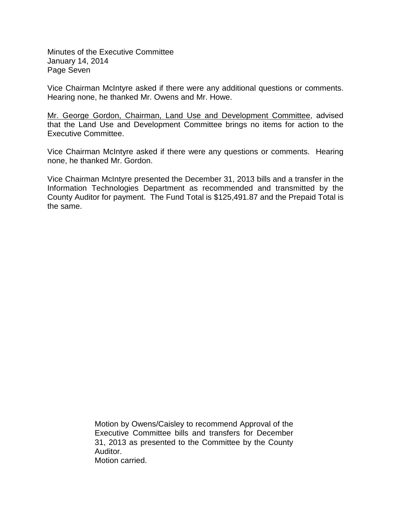Minutes of the Executive Committee January 14, 2014 Page Seven

Vice Chairman McIntyre asked if there were any additional questions or comments. Hearing none, he thanked Mr. Owens and Mr. Howe.

Mr. George Gordon, Chairman, Land Use and Development Committee, advised that the Land Use and Development Committee brings no items for action to the Executive Committee.

Vice Chairman McIntyre asked if there were any questions or comments. Hearing none, he thanked Mr. Gordon.

Vice Chairman McIntyre presented the December 31, 2013 bills and a transfer in the Information Technologies Department as recommended and transmitted by the County Auditor for payment. The Fund Total is \$125,491.87 and the Prepaid Total is the same.

> Motion by Owens/Caisley to recommend Approval of the Executive Committee bills and transfers for December 31, 2013 as presented to the Committee by the County Auditor.

Motion carried.